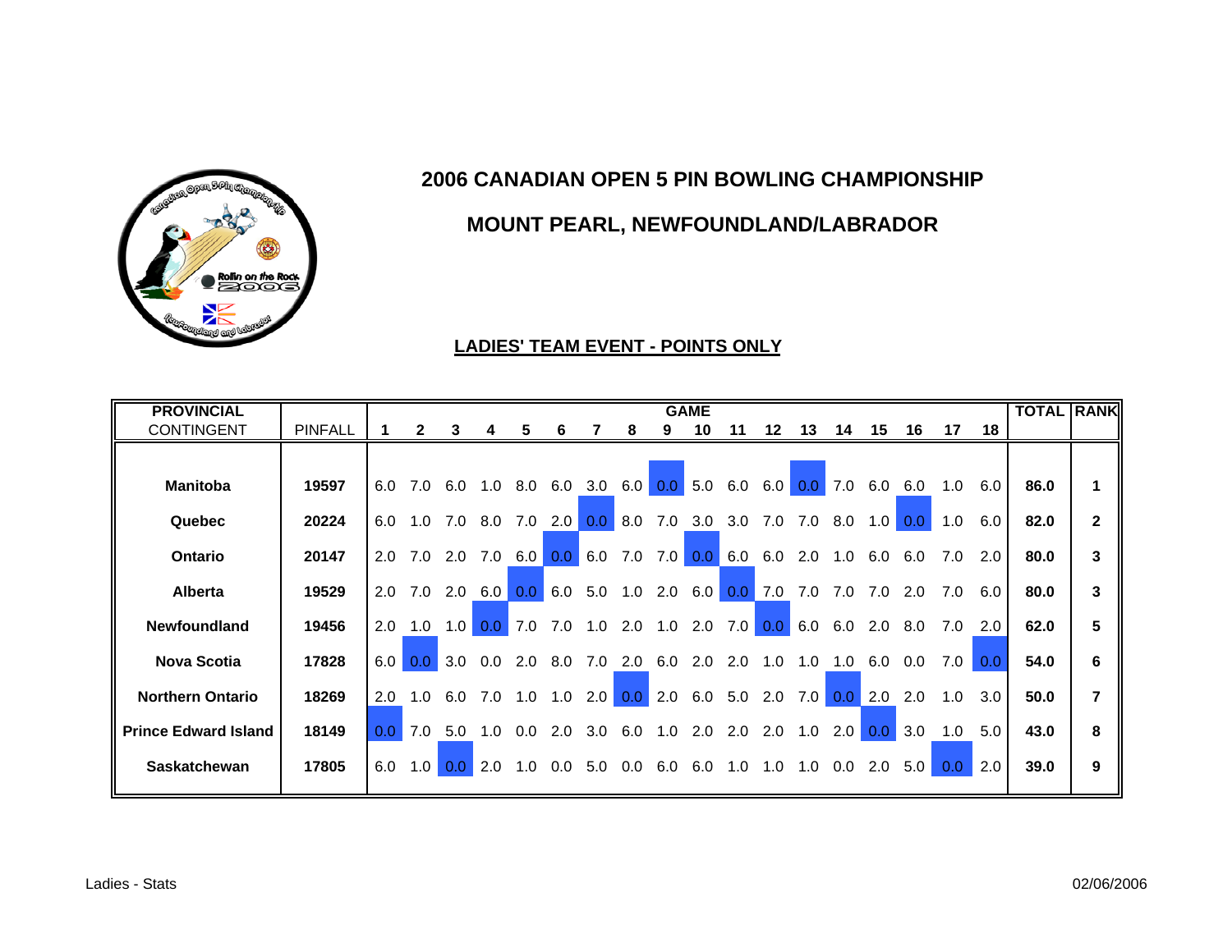

# **MOUNT PEARL, NEWFOUNDLAND/LABRADOR**

| <b>PROVINCIAL</b>           |                |                  |     |                  |         |     |                |                  |                  |     | <b>GAME</b>         |                  |                  |                  |             |                  |         |                  |     | <b>TOTAL RANK</b> |                |
|-----------------------------|----------------|------------------|-----|------------------|---------|-----|----------------|------------------|------------------|-----|---------------------|------------------|------------------|------------------|-------------|------------------|---------|------------------|-----|-------------------|----------------|
| <b>CONTINGENT</b>           | <b>PINFALL</b> |                  |     | 3                | 4       | 5   | 6              |                  | 8                | 9   | 10                  | 11               | 12               | 13               | 14          | 15               | 16      | 17               | 18  |                   |                |
|                             |                |                  |     |                  |         |     |                |                  |                  |     |                     |                  |                  |                  |             |                  |         |                  |     |                   |                |
| <b>Manitoba</b>             | 19597          | 6.0              | 7.0 | 6.0              | 1.0     | 8.0 |                | $6.0$ 3.0 6.0    |                  |     | $0.0$ 5.0           | 6.0              | 6.0              | 0.0 <sub>1</sub> | $\vert$ 7.0 | 6.0              | 6.0     | 1.0              | 6.0 | 86.0              |                |
| Quebec                      | 20224          | 6.0              | 1.0 | 7.0              | 8.0     | 7.0 | 2.0            | 0.0 <sub>1</sub> | 8.0              | 7.0 | 3.0                 | 3.0              | 7.0              | 7.0              | 8.0         | 1.0              | 0.0     | 1.0              | 6.0 | 82.0              | $\overline{2}$ |
| Ontario                     | 20147          | 2.0              | 7.0 | 2.0 7.0          |         | 6.0 |                |                  |                  |     |                     | $0.0$ 6.0 6.0    |                  | $2.0$ 1.0        |             | 6.0              | 6.0     | 7.0              | 2.0 | 80.0              | 3              |
| <b>Alberta</b>              | 19529          | 2.0              | 7.0 |                  | 2.0 6.0 | 0.0 | 6.0            |                  |                  |     | $5.0$ 1.0 2.0 6.0   | 0.0 <sub>1</sub> | 7.0              | 7.0              | 7.0         | 7.0              | 2.0     | 7.0              | 6.0 | 80.0              | 3              |
| Newfoundland                | 19456          | 2.0              | 1.0 | 1.0              | 0.0     | 7.0 | 7.0            | 1.0              | 2.0              | 1.0 | 2.0                 | 7.0              | 0.0 <sub>1</sub> | 6.0              | 6.0         | 2.0              | 8.0     | 7.0              | 2.0 | 62.0              | 5              |
| <b>Nova Scotia</b>          | 17828          | 6.0              | 0.0 | 3.0              | 0.0     |     | $2.0\quad 8.0$ | 7.0              |                  |     | 2.0 6.0 2.0 2.0 1.0 |                  |                  | 1.0              | 1.0         | 6.0              | $0.0\,$ | 7.0              | 0.0 | 54.0              | 6              |
| <b>Northern Ontario</b>     | 18269          | 2.0              | 1.0 | 6.0              | 7.0     | 1.0 | 1.0            | 2.0              | 0.0 <sub>1</sub> | 2.0 | 6.0                 |                  | $5.0\quad2.0$    | 7.0              | 0.0         | 2.0              | 2.0     | 1.0              | 3.0 | 50.0              | 7              |
| <b>Prince Edward Island</b> | 18149          | 0.0 <sub>1</sub> | 7.0 | 5.0              | 1.0     | 0.0 | 2.0            | 3.0              | 6.0              | 1.0 | 2.0                 | 2.0              | 2.0              | 1.0              | 2.0         | 0.0 <sub>1</sub> | 3.0     | 1.0              | 5.0 | 43.0              | 8              |
| <b>Saskatchewan</b>         | 17805          | 6.0              | 1.0 | 0.0 <sub>1</sub> | 2.0     | 1.0 | 0.0            | 5.0              | $0.0\,$          |     | 6.0 6.0 1.0 1.0 1.0 |                  |                  |                  | 0.0         | 2.0              | 5.0     | 0.0 <sub>1</sub> | 2.0 | 39.0              | 9              |

#### **LADIES' TEAM EVENT - POINTS ONLY**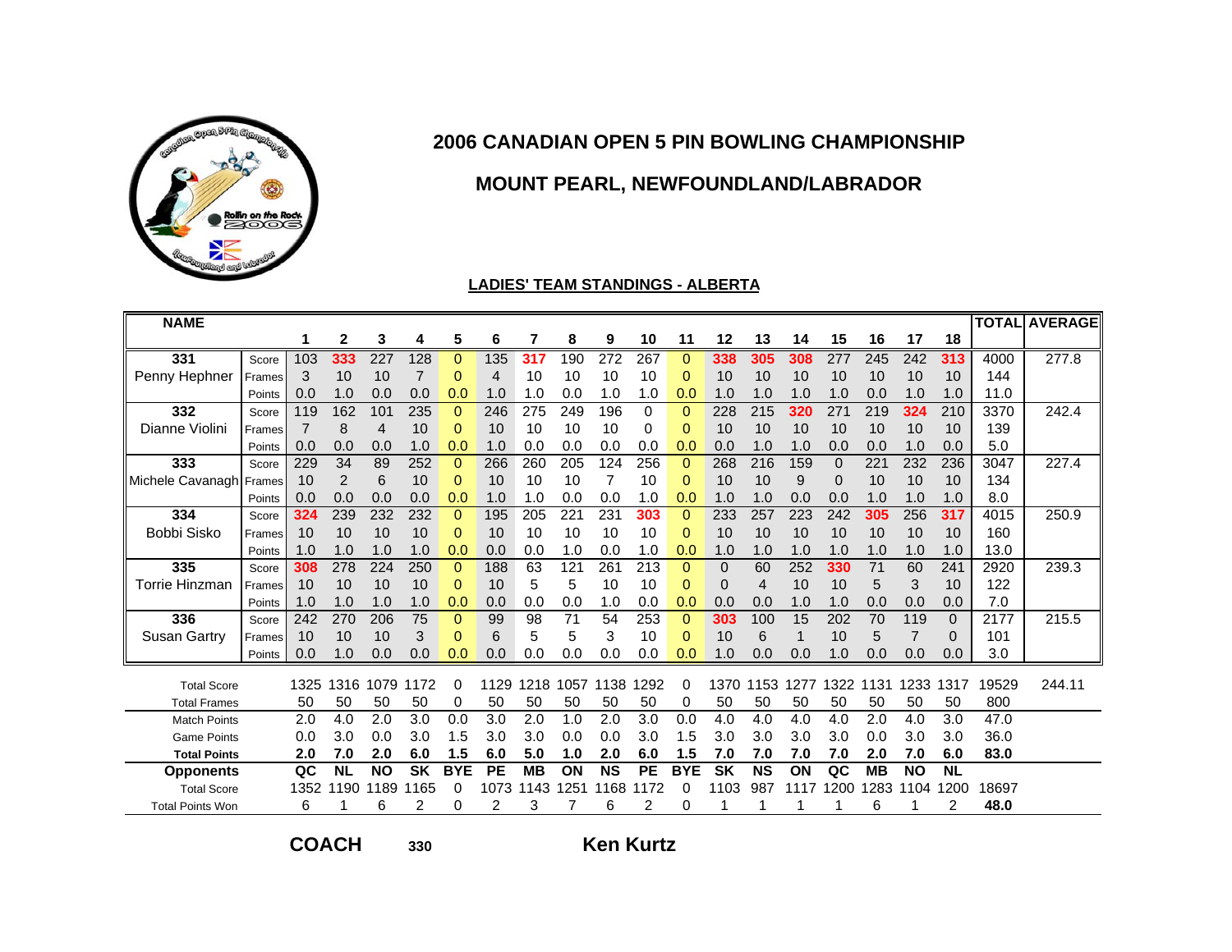

# **MOUNT PEARL, NEWFOUNDLAND/LABRADOR**

#### **LADIES' TEAM STANDINGS - ALBERTA**

| <b>NAME</b>             |        |      |           |           |           |                |           |           |      |           |           |            |           |           |      |             |           |                |           |       | <b>TOTAL AVERAGE</b> |
|-------------------------|--------|------|-----------|-----------|-----------|----------------|-----------|-----------|------|-----------|-----------|------------|-----------|-----------|------|-------------|-----------|----------------|-----------|-------|----------------------|
|                         |        |      | 2         | 3         | 4         | 5              | 6         |           | 8    | 9         | 10        | 11         | 12        | 13        | 14   | 15          | 16        | 17             | 18        |       |                      |
| 331                     | Score  | 103  | 333       | 227       | 128       | $\overline{0}$ | 135       | 317       | 190  | 272       | 267       | $\Omega$   | 338       | 305       | 308  | 277         | 245       | 242            | 313       | 4000  | 277.8                |
| Penny Hephner           | Frames | 3    | 10        | 10        |           | $\overline{0}$ | 4         | 10        | 10   | 10        | 10        | 0          | 10        | 10        | 10   | 10          | 10        | 10             | 10        | 144   |                      |
|                         | Points | 0.0  | 1.0       | 0.0       | 0.0       | 0.0            | 1.0       | 1.0       | 0.0  | 1.0       | 1.0       | 0.0        | 1.0       | 1.0       | 1.0  | 1.0         | 0.0       | 1.0            | 1.0       | 11.0  |                      |
| 332                     | Score  | 119  | 162       | 101       | 235       | $\Omega$       | 246       | 275       | 249  | 196       | 0         | 0          | 228       | 215       | 320  | 271         | 219       | 324            | 210       | 3370  | 242.4                |
| Dianne Violini          | Frames |      | 8         | 4         | 10        | 0              | 10        | 10        | 10   | 10        | 0         | 0          | 10        | 10        | 10   | 10          | 10        | 10             | 10        | 139   |                      |
|                         | Points | 0.0  | 0.0       | 0.0       | 1.0       | 0.0            | 1.0       | 0.0       | 0.0  | 0.0       | 0.0       | 0.0        | 0.0       | 1.0       | 1.0  | 0.0         | 0.0       | 1.0            | 0.0       | 5.0   |                      |
| 333                     | Score  | 229  | 34        | 89        | 252       | $\mathbf 0$    | 266       | 260       | 205  | 124       | 256       | 0          | 268       | 216       | 159  | $\mathbf 0$ | 221       | 232            | 236       | 3047  | 227.4                |
| Michele Cavanagh        | Frames | 10   | 2         | 6         | 10        | $\Omega$       | 10        | 10        | 10   | 7         | 10        | 0          | 10        | 10        | 9    | $\mathbf 0$ | 10        | 10             | 10        | 134   |                      |
|                         | Points | 0.0  | 0.0       | 0.0       | 0.0       | 0.0            | 1.0       | 1.0       | 0.0  | 0.0       | 1.0       | 0.0        | 1.0       |           | 0.0  | 0.0         | 1.0       | 1.0            | 1.0       | 8.0   |                      |
| 334                     | Score  | 324  | 239       | 232       | 232       | $\Omega$       | 195       | 205       | 221  | 231       | 303       | 0          | 233       | 257       | 223  | 242         | 305       | 256            | 317       | 4015  | 250.9                |
| Bobbi Sisko             | Frames | 10   | 10        | 10        | 10        | $\Omega$       | 10        | 10        | 10   | 10        | 10        | 0          | 10        | 10        | 10   | 10          | 10        | 10             | 10        | 160   |                      |
|                         | Points | 1.0  | 1.0       | 1.0       | 1.0       | 0.0            | 0.0       | 0.0       | 1.0  | 0.0       | 1.0       | 0.0        | 1.0       | 1.0       | 1.0  | 1.0         | 1.0       | 1.0            | 1.0       | 13.0  |                      |
| 335                     | Score  | 308  | 278       | 224       | 250       | $\Omega$       | 188       | 63        | 121  | 261       | 213       | 0          | 0         | 60        | 252  | 330         | 71        | 60             | 241       | 2920  | 239.3                |
| <b>Torrie Hinzman</b>   | Frames | 10   | 10        | 10        | 10        | 0              | 10        | 5         | 5    | 10        | 10        | 0          | 0         | 4         | 10   | 10          | 5         | 3              | 10        | 122   |                      |
|                         | Points | 1.0  | 1.0       | 1.0       | 1.0       | 0.0            | 0.0       | 0.0       | 0.0  | 1.0       | 0.0       | 0.0        | 0.0       | 0.0       | 1.0  | 1.0         | 0.0       | 0.0            | 0.0       | 7.0   |                      |
| 336                     | Score  | 242  | 270       | 206       | 75        | 0              | 99        | 98        | 71   | 54        | 253       | 0          | 303       | 100       | 15   | 202         | 70        | 119            | 0         | 2177  | 215.5                |
| Susan Gartry            | Frames | 10   | 10        | 10        | 3         | $\Omega$       | 6         | 5         | 5    | 3         | 10        | 0          | 10        | 6         |      | 10          | 5         | $\overline{7}$ | 0         | 101   |                      |
|                         | Points | 0.0  | 1.0       | 0.0       | 0.0       | 0.0            | 0.0       | 0.0       | 0.0  | 0.0       | 0.0       | 0.0        | 1.0       | 0.0       | 0.0  | 1.0         | 0.0       | 0.0            | 0.0       | 3.0   |                      |
| <b>Total Score</b>      |        | 1325 | 1316      | 1079      | 172       | 0              | 1129      | 1218      | 1057 | 138<br>1  | 1292      | 0          | 1370      | 1153      | 1277 | 1322        | 131       | 233            | 1317      | 19529 | 244.11               |
| <b>Total Frames</b>     |        | 50   | 50        | 50        | 50        | 0              | 50        | 50        | 50   | 50        | 50        | 0          | 50        | 50        | 50   | 50          | 50        | 50             | 50        | 800   |                      |
| <b>Match Points</b>     |        | 2.0  | 4.0       | 2.0       | 3.0       | 0.0            | 3.0       | 2.0       | 1.0  | 2.0       | 3.0       | 0.0        | 4.0       | 4.0       | 4.0  | 4.0         | 2.0       | 4.0            | 3.0       | 47.0  |                      |
| <b>Game Points</b>      |        | 0.0  | 3.0       | 0.0       | 3.0       | 1.5            | 3.0       | 3.0       | 0.0  | 0.0       | 3.0       | 1.5        | 3.0       | 3.0       | 3.0  | 3.0         | 0.0       | 3.0            | 3.0       | 36.0  |                      |
| <b>Total Points</b>     |        | 2.0  | 7.0       | 2.0       | 6.0       | 1.5            | 6.0       | 5.0       | 1.0  | 2.0       | 6.0       | 1.5        | 7.0       | 7.0       | 7.0  | 7.0         | 2.0       | 7.0            | 6.0       | 83.0  |                      |
| <b>Opponents</b>        |        | QC   | <b>NL</b> | <b>NO</b> | <b>SK</b> | <b>BYE</b>     | <b>PE</b> | <b>MB</b> | ON   | <b>NS</b> | <b>PE</b> | <b>BYE</b> | <b>SK</b> | <b>NS</b> | ON   | QC          | <b>MB</b> | <b>NO</b>      | <b>NL</b> |       |                      |
| <b>Total Score</b>      |        | 1352 | 1190      | 1189      | 165       | 0              | 1073      | 143       | 251  | 168       | 172       | 0          | 1103      | 987       | 111  | 1200        | 1283      | 1104           | 1200      | 18697 |                      |
|                         |        |      |           |           |           |                |           |           |      |           |           |            |           |           |      |             |           |                |           |       |                      |
| <b>Total Points Won</b> |        | 6    |           | 6         | 2         | 0              | 2         | 3         |      | 6         | 2         | 0          |           |           |      |             | 6         |                | 2         | 48.0  |                      |

**COACH**

**<sup>330</sup> Ken Kurtz**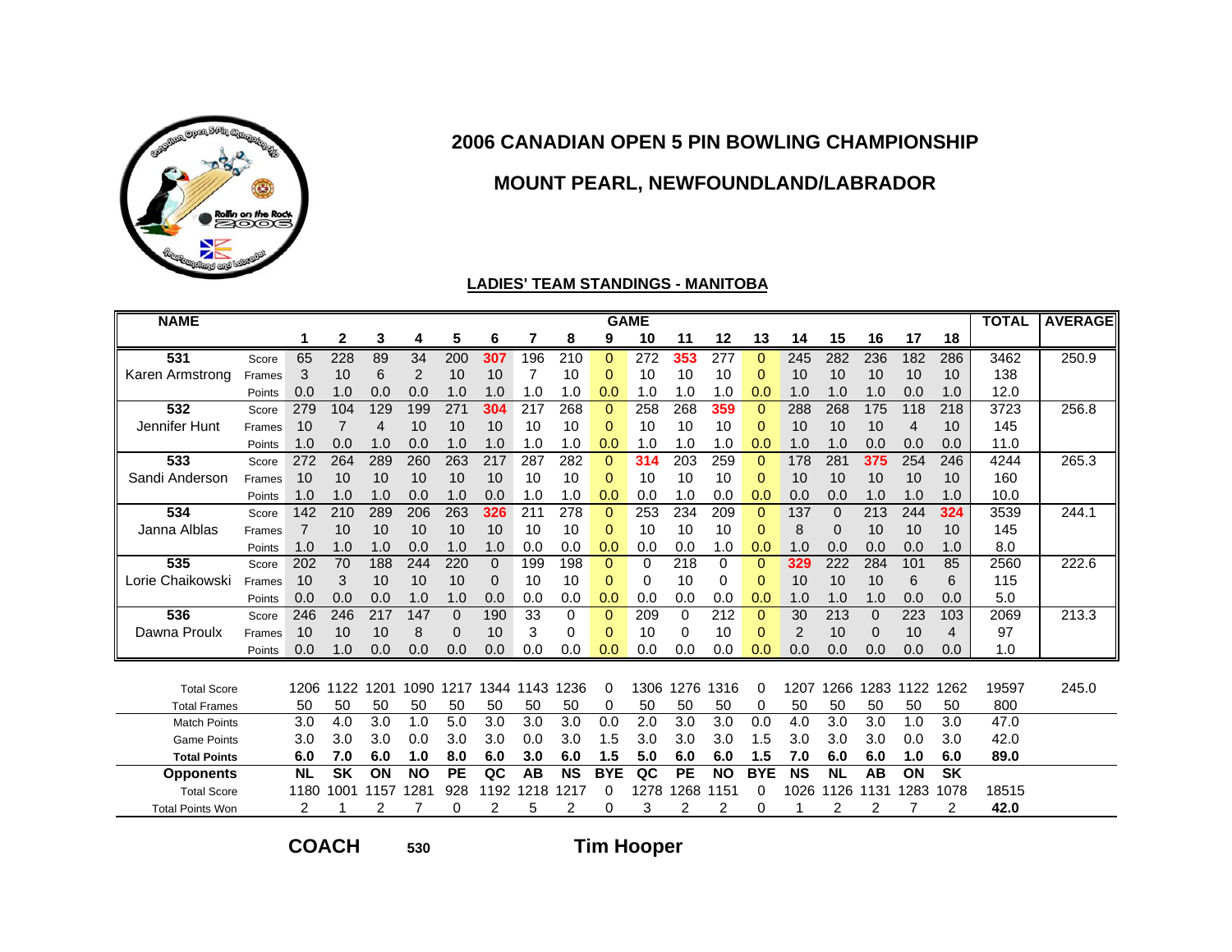

### **MOUNT PEARL, NEWFOUNDLAND/LABRADOR**

#### **LADIES' TEAM STANDINGS - MANITOBA**

| <b>NAME</b>             |        |           |           |      |                 |           |              |      |                  |              | <b>GAME</b>      |           |           |                |           |           |          |      |           | <b>TOTAL</b> | <b>AVERAGE</b> |
|-------------------------|--------|-----------|-----------|------|-----------------|-----------|--------------|------|------------------|--------------|------------------|-----------|-----------|----------------|-----------|-----------|----------|------|-----------|--------------|----------------|
|                         |        |           | 2         | 3    | 4               | 5         | 6            |      | 8                | 9            | 10               | 11        | 12        | 13             | 14        | 15        | 16       | 17   | 18        |              |                |
| 531                     | Score  | 65        | 228       | 89   | $\overline{34}$ | 200       | 307          | 196  | $\overline{210}$ | $\Omega$     | $\overline{272}$ | 353       | 277       | $\Omega$       | 245       | 282       | 236      | 182  | 286       | 3462         | 250.9          |
| Karen Armstrong         | Frames | 3         | 10        | 6    | 2               | 10        | 10           | 7    | 10               | $\Omega$     | 10               | 10        | 10        | 0              | 10        | 10        | 10       | 10   | 10        | 138          |                |
|                         | Points | 0.0       | 1.0       | 0.0  | 0.0             | 1.0       | 1.0          | 1.0  | 1.0              | 0.0          | 1.0              | 1.0       | 1.0       | 0.0            | 1.0       | 1.0       | 1.0      | 0.0  | 1.0       | 12.0         |                |
| 532                     | Score  | 279       | 104       | 129  | 199             | 271       | 304          | 217  | 268              | $\Omega$     | 258              | 268       | 359       | $\Omega$       | 288       | 268       | 175      | 118  | 218       | 3723         | 256.8          |
| Jennifer Hunt           | Frames | 10        | 7         | 4    | 10              | 10        | 10           | 10   | 10               | $\Omega$     | 10               | 10        | 10        | $\Omega$       | 10        | 10        | 10       | 4    | 10        | 145          |                |
|                         | Points | 1.0       | 0.0       | 1.0  | 0.0             | 1.0       | 1.0          | 1.0  | 1.0              | 0.0          | 1.0              | 1.0       | 1.0       | 0.0            | 1.0       | 1.0       | 0.0      | 0.0  | 0.0       | 11.0         |                |
| 533                     | Score  | 272       | 264       | 289  | 260             | 263       | 217          | 287  | 282              | $\mathbf{0}$ | 314              | 203       | 259       | $\mathbf{0}$   | 178       | 281       | 375      | 254  | 246       | 4244         | 265.3          |
| Sandi Anderson          | Frames | 10        | 10        | 10   | 10              | 10        | 10           | 10   | 10               | $\Omega$     | 10               | 10        | 10        | $\mathbf{0}$   | 10        | 10        | 10       | 10   | 10        | 160          |                |
|                         | Points | 1.0       | 1.0       | 1.0  | 0.0             | 1.0       | 0.0          | 1.0  | 1.0              | 0.0          | 0.0              | 1.0       | 0.0       | 0.0            | 0.0       | 0.0       | 1.0      | 1.0  | 1.0       | 10.0         |                |
| 534                     | Score  | 142       | 210       | 289  | 206             | 263       | 326          | 211  | 278              | $\Omega$     | 253              | 234       | 209       | $\Omega$       | 137       | $\Omega$  | 213      | 244  | 324       | 3539         | 244.1          |
| Janna Alblas            | Frames | 7         | 10        | 10   | 10              | 10        | 10           | 10   | 10               | 0            | 10               | 10        | 10        | 0              | 8         | 0         | 10       | 10   | 10        | 145          |                |
|                         | Points | 1.0       | 1.0       | 1.0  | 0.0             | 1.0       | 1.0          | 0.0  | 0.0              | 0.0          | 0.0              | 0.0       | 1.0       | 0.0            | 1.0       | 0.0       | 0.0      | 0.0  | 1.0       | 8.0          |                |
| 535                     | Score  | 202       | 70        | 188  | 244             | 220       | $\mathbf{0}$ | 199  | 198              | $\Omega$     | 0                | 218       | 0         | $\Omega$       | 329       | 222       | 284      | 101  | 85        | 2560         | 222.6          |
| Lorie Chaikowski        | Frames | 10        | 3         | 10   | 10              | 10        | 0            | 10   | 10               | 0            | 0                | 10        | 0         | $\overline{0}$ | 10        | 10        | 10       | 6    | 6         | 115          |                |
|                         | Points | 0.0       | 0.0       | 0.0  | 1.0             | 1.0       | 0.0          | 0.0  | 0.0              | 0.0          | 0.0              | 0.0       | 0.0       | 0.0            | 1.0       | 1.0       | 1.0      | 0.0  | 0.0       | 5.0          |                |
| 536                     | Score  | 246       | 246       | 217  | 147             | $\Omega$  | 190          | 33   | 0                | $\Omega$     | 209              | 0         | 212       | $\Omega$       | 30        | 213       | $\Omega$ | 223  | 103       | 2069         | 213.3          |
| Dawna Proulx            | Frames | 10        | 10        | 10   | 8               | 0         | 10           | 3    | 0                | $\Omega$     | 10               | 0         | 10        | $\mathbf 0$    | 2         | 10        | $\Omega$ | 10   | 4         | 97           |                |
|                         | Points | 0.0       | 1.0       | 0.0  | 0.0             | 0.0       | 0.0          | 0.0  | 0.0              | 0.0          | 0.0              | 0.0       | 0.0       | 0.0            | 0.0       | 0.0       | 0.0      | 0.0  | 0.0       | 1.0          |                |
|                         |        |           |           |      |                 |           |              |      |                  |              |                  |           |           |                |           |           |          |      |           |              |                |
| <b>Total Score</b>      |        | 1206      | 1122      | 1201 | 1090            | 1217      | 1344         | 1143 | 1236             | $\Omega$     | 1306             | 1276      | 1316      | 0              | 1207      | 1266      | 1283     | 1122 | 1262      | 19597        | 245.0          |
| <b>Total Frames</b>     |        | 50        | 50        | 50   | 50              | 50        | 50           | 50   | 50               | 0            | 50               | 50        | 50        | 0              | 50        | 50        | 50       | 50   | 50        | 800          |                |
| <b>Match Points</b>     |        | 3.0       | 4.0       | 3.0  | 1.0             | 5.0       | 3.0          | 3.0  | 3.0              | 0.0          | 2.0              | 3.0       | 3.0       | 0.0            | 4.0       | 3.0       | 3.0      | 1.0  | 3.0       | 47.0         |                |
| <b>Game Points</b>      |        | 3.0       | 3.0       | 3.0  | 0.0             | 3.0       | 3.0          | 0.0  | 3.0              | 1.5          | 3.0              | 3.0       | 3.0       | 1.5            | 3.0       | 3.0       | 3.0      | 0.0  | 3.0       | 42.0         |                |
| <b>Total Points</b>     |        | 6.0       | 7.0       | 6.0  | 1.0             | 8.0       | 6.0          | 3.0  | 6.0              | 1.5          | 5.0              | 6.0       | 6.0       | 1.5            | 7.0       | 6.0       | 6.0      | 1.0  | 6.0       | 89.0         |                |
| <b>Opponents</b>        |        | <b>NL</b> | <b>SK</b> | ON   | <b>NO</b>       | <b>PE</b> | QC           | AB   | <b>NS</b>        | <b>BYE</b>   | QC               | <b>PE</b> | <b>NO</b> | <b>BYE</b>     | <b>NS</b> | <b>NL</b> | AB       | ON   | <b>SK</b> |              |                |
| <b>Total Score</b>      |        | 1180      | 1001      | 1157 | 1281            | 928       | 1192         | 1218 | 1217             | 0            | 1278             | 1268      | 1151      | 0              | 1026      | 1126      | 131      | 1283 | 1078      | 18515        |                |
| <b>Total Points Won</b> |        | 2         |           |      |                 | $\Omega$  | 2            | 5    | 2                | $\Omega$     | 3                | 2         | 2         | 0              |           |           | 2        |      | 2         | 42.0         |                |

**COACH**

**530**

**Tim Hooper**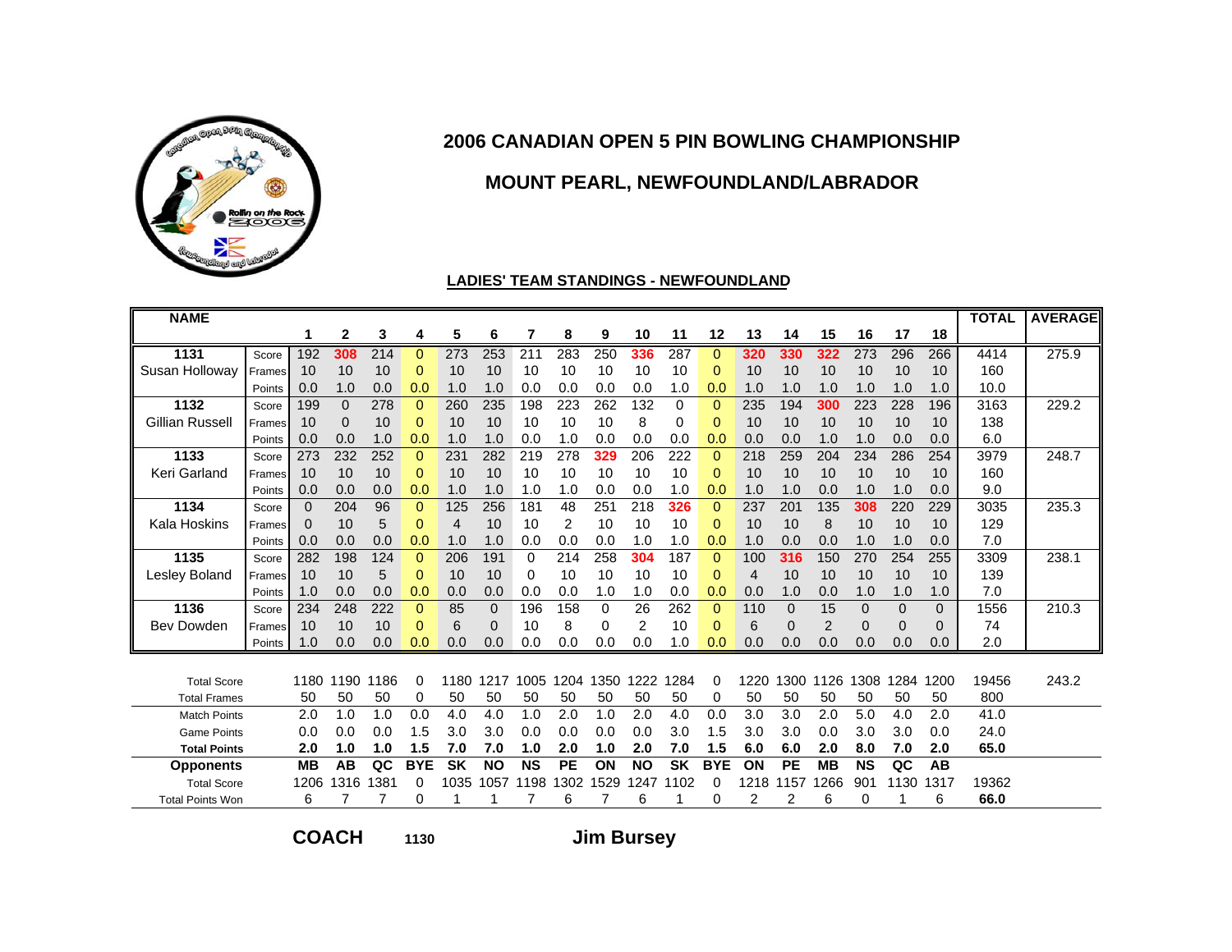

### **MOUNT PEARL, NEWFOUNDLAND/LABRADOR**

#### **LADIES' TEAM STANDINGS - NEWFOUNDLAND**

| <b>NAME</b>             |        |           |              |      |                |           |                |           |           |          |                |           |              |      |             |           |              |              |              | <b>TOTAL</b> | <b>AVERAGE</b> |
|-------------------------|--------|-----------|--------------|------|----------------|-----------|----------------|-----------|-----------|----------|----------------|-----------|--------------|------|-------------|-----------|--------------|--------------|--------------|--------------|----------------|
|                         |        |           | $\mathbf{2}$ | 3    | 4              | 5         | 6              | 7         | 8         | 9        | 10             | 11        | 12           | 13   | 14          | 15        | 16           | 17           | 18           |              |                |
| 1131                    | Score  | 192       | 308          | 214  | $\mathbf{0}$   | 273       | 253            | 211       | 283       | 250      | 336            | 287       | $\Omega$     | 320  | 330         | 322       | 273          | 296          | 266          | 4414         | 275.9          |
| Susan Holloway          | Frames | 10        | 10           | 10   | $\Omega$       | 10        | 10             | 10        | 10        | 10       | 10             | 10        | $\Omega$     | 10   | 10          | 10        | 10           | 10           | 10           | 160          |                |
|                         | Points | 0.0       | 1.0          | 0.0  | 0.0            | 1.0       | 1.0            | 0.0       | 0.0       | 0.0      | 0.0            | 1.0       | 0.0          | 1.0  | 1.0         | 1.0       | 1.0          | 1.0          | 1.0          | 10.0         |                |
| 1132                    | Score  | 199       | $\mathbf{0}$ | 278  | $\mathbf{0}$   | 260       | 235            | 198       | 223       | 262      | 132            | 0         | 0            | 235  | 194         | 300       | 223          | 228          | 196          | 3163         | 229.2          |
| Gillian Russell         | Frames | 10        | $\mathbf{0}$ | 10   | 0              | 10        | 10             | 10        | 10        | 10       | 8              | 0         | 0            | 10   | 10          | 10        | 10           | 10           | 10           | 138          |                |
|                         | Points | 0.0       | 0.0          | 1.0  | 0.0            | 1.0       | 1.0            | 0.0       | 1.0       | 0.0      | 0.0            | 0.0       | 0.0          | 0.0  | 0.0         | 1.0       | 1.0          | 0.0          | 0.0          | 6.0          |                |
| 1133                    | Score  | 273       | 232          | 252  | $\overline{0}$ | 231       | 282            | 219       | 278       | 329      | 206            | 222       | $\Omega$     | 218  | 259         | 204       | 234          | 286          | 254          | 3979         | 248.7          |
| Keri Garland            | Frames | 10        | 10           | 10   | $\Omega$       | 10        | 10             | 10        | 10        | 10       | 10             | 10        | 0            | 10   | 10          | 10        | 10           | 10           | 10           | 160          |                |
|                         | Points | 0.0       | 0.0          | 0.0  | 0.0            | 1.0       | 1.0            | 1.0       | 1.0       | 0.0      | 0.0            | 1.0       | 0.0          | 1.0  | 1.0         | 0.0       | 1.0          | 1.0          | 0.0          | 9.0          |                |
| 1134                    | Score  | 0         | 204          | 96   | $\Omega$       | 125       | 256            | 181       | 48        | 251      | 218            | 326       | $\Omega$     | 237  | 201         | 135       | 308          | 220          | 229          | 3035         | 235.3          |
| <b>Kala Hoskins</b>     | Frames | $\Omega$  | 10           | 5    | $\mathbf{0}$   | 4         | 10             | 10        | 2         | 10       | 10             | 10        | $\Omega$     | 10   | 10          | 8         | 10           | 10           | 10           | 129          |                |
|                         | Points | 0.0       | 0.0          | 0.0  | 0.0            | 1.0       | 1.0            | 0.0       | 0.0       | 0.0      | 1.0            | 1.0       | 0.0          | 1.0  | 0.0         | 0.0       | 1.0          | 1.0          | 0.0          | 7.0          |                |
| 1135                    | Score  | 282       | 198          | 124  | $\mathbf{0}$   | 206       | 191            | $\Omega$  | 214       | 258      | 304            | 187       | $\Omega$     | 100  | 316         | 150       | 270          | 254          | 255          | 3309         | 238.1          |
| Lesley Boland           | Frames | 10        | 10           | 5    | $\overline{0}$ | 10        | 10             | 0         | 10        | 10       | 10             | 10        | $\Omega$     | 4    | 10          | 10        | 10           | 10           | 10           | 139          |                |
|                         | Points | 1.0       | 0.0          | 0.0  | 0.0            | 0.0       | 0.0            | 0.0       | 0.0       | 1.0      | 1.0            | 0.0       | 0.0          | 0.0  | 1.0         | 0.0       | 1.0          | 1.0          | 1.0          | 7.0          |                |
| 1136                    | Score  | 234       | 248          | 222  | $\mathbf{0}$   | 85        | $\overline{0}$ | 196       | 158       | 0        | 26             | 262       | $\mathbf{0}$ | 110  | $\mathbf 0$ | 15        | $\mathbf{0}$ | $\mathbf{0}$ | $\mathbf{0}$ | 1556         | 210.3          |
| Bev Dowden              | Frames | 10        | 10           | 10   | $\Omega$       | 6         | $\Omega$       | 10        | 8         | $\Omega$ | $\overline{2}$ | 10        | 0            | 6    | $\Omega$    | 2         | $\Omega$     | $\Omega$     | $\Omega$     | 74           |                |
|                         | Points | 1.0       | 0.0          | 0.0  | 0.0            | 0.0       | 0.0            | 0.0       | 0.0       | 0.0      | 0.0            | 1.0       | 0.0          | 0.0  | 0.0         | 0.0       | 0.0          | 0.0          | 0.0          | 2.0          |                |
|                         |        |           |              |      |                |           |                |           |           |          |                |           |              |      |             |           |              |              |              |              |                |
| <b>Total Score</b>      |        | 1180      | 1190         | 1186 | 0              | 1180      | 1217           | 1005      | 1204      | 1350     | 1222           | 1284      | 0            | 1220 | 1300        | 1126      | 1308         | 1284         | 1200         | 19456        | 243.2          |
| <b>Total Frames</b>     |        | 50        | 50           | 50   | 0              | 50        | 50             | 50        | 50        | 50       | 50             | 50        | 0            | 50   | 50          | 50        | 50           | 50           | 50           | 800          |                |
| <b>Match Points</b>     |        | 2.0       | 1.0          | 1.0  | 0.0            | 4.0       | 4.0            | 1.0       | 2.0       | 1.0      | 2.0            | 4.0       | 0.0          | 3.0  | 3.0         | 2.0       | 5.0          | 4.0          | 2.0          | 41.0         |                |
| <b>Game Points</b>      |        | 0.0       | 0.0          | 0.0  | 1.5            | 3.0       | 3.0            | 0.0       | 0.0       | 0.0      | 0.0            | 3.0       | 1.5          | 3.0  | 3.0         | 0.0       | 3.0          | 3.0          | 0.0          | 24.0         |                |
| <b>Total Points</b>     |        | 2.0       | 1.0          | 1.0  | 1.5            | 7.0       | 7.0            | 1.0       | 2.0       | 1.0      | 2.0            | 7.0       | 1.5          | 6.0  | 6.0         | 2.0       | 8.0          | 7.0          | 2.0          | 65.0         |                |
| <b>Opponents</b>        |        | <b>MB</b> | AB           | QC   | <b>BYE</b>     | <b>SK</b> | <b>NO</b>      | <b>NS</b> | <b>PE</b> | ON       | <b>NO</b>      | <b>SK</b> | <b>BYE</b>   | ON   | <b>PE</b>   | <b>MB</b> | <b>NS</b>    | QC           | AB           |              |                |
| <b>Total Score</b>      |        | 1206      | 1316         | 1381 | 0              | 1035      | 1057           | 1198      | 1302      | 1529     | 1247           | 102<br>1  | 0            | 1218 | 1157        | 1266      | 901          | 1130         | 1317         | 19362        |                |
| <b>Total Points Won</b> |        | 6         |              |      | 0              |           |                |           | 6         |          | 6              |           | 0            | 2    | 2           | 6         | 0            |              | 6            | 66.0         |                |

**COACH**

**<sup>1130</sup> Jim Bursey**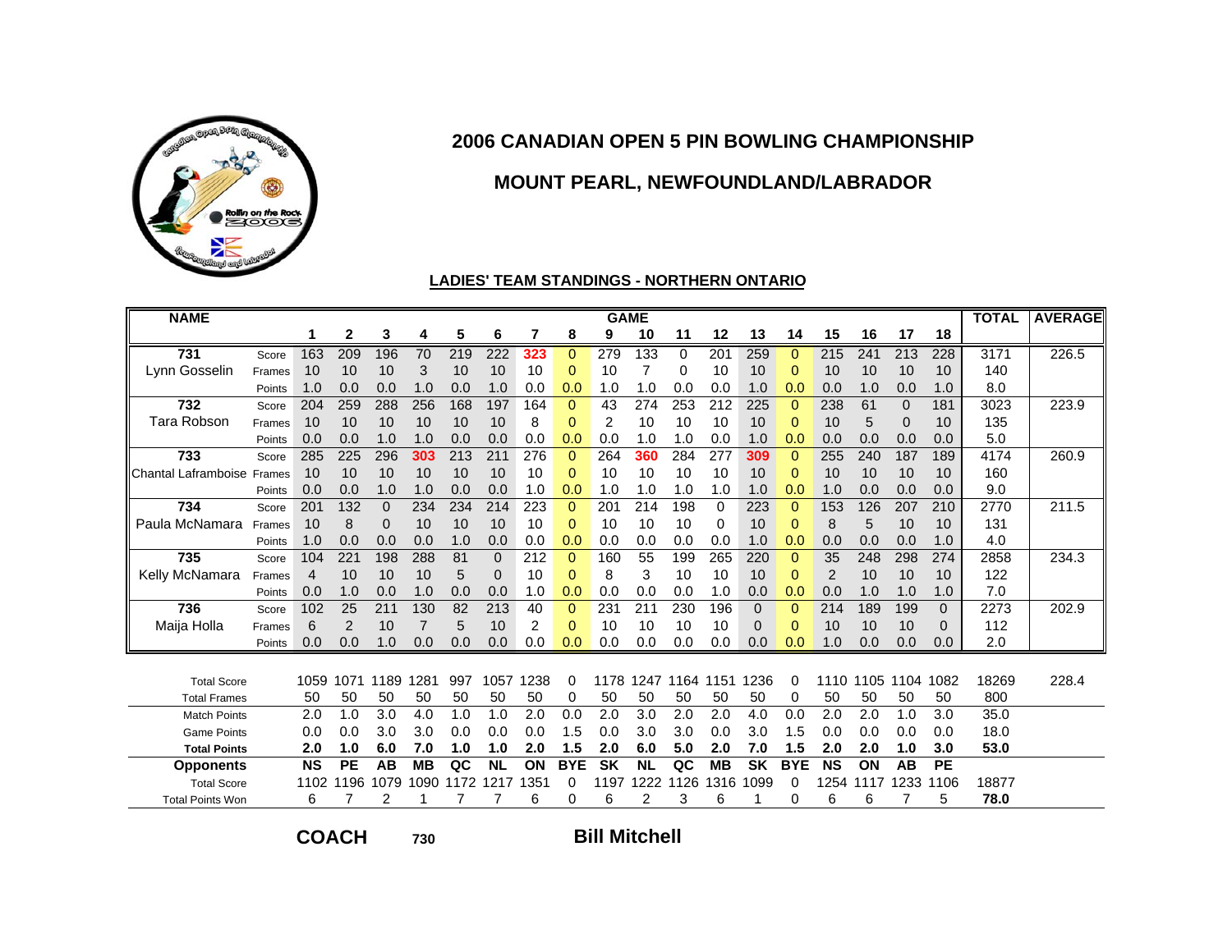

### **MOUNT PEARL, NEWFOUNDLAND/LABRADOR**

#### **LADIES' TEAM STANDINGS - NORTHERN ONTARIO**

| <b>NAME</b>             |        |           |              |              |                |      |             |      |              |                | <b>GAME</b> |             |           |              |              |                |      |             |                | <b>TOTAL</b> | <b>AVERAGE</b> |
|-------------------------|--------|-----------|--------------|--------------|----------------|------|-------------|------|--------------|----------------|-------------|-------------|-----------|--------------|--------------|----------------|------|-------------|----------------|--------------|----------------|
|                         |        |           | $\mathbf{2}$ | 3            | 4              | 5    | 6           | 7    | 8            | 9              | 10          | 11          | 12        | 13           | 14           | 15             | 16   | 17          | 18             |              |                |
| 731                     | Score  | 163       | 209          | 196          | 70             | 219  | 222         | 323  | $\Omega$     | 279            | 133         | $\mathbf 0$ | 201       | 259          | $\Omega$     | 215            | 241  | 213         | 228            | 3171         | 226.5          |
| Lynn Gosselin           | Frames | 10        | 10           | 10           | 3              | 10   | 10          | 10   | 0            | 10             | 7           | 0           | 10        | 10           | 0            | 10             | 10   | 10          | 10             | 140          |                |
|                         | Points | 1.0       | 0.0          | 0.0          | 1.0            | 0.0  | 1.0         | 0.0  | 0.0          | 1.0            | 1.0         | 0.0         | 0.0       | 1.0          | 0.0          | 0.0            | 1.0  | 0.0         | 1.0            | 8.0          |                |
| 732                     | Score  | 204       | 259          | 288          | 256            | 168  | 197         | 164  | $\mathbf{0}$ | 43             | 274         | 253         | 212       | 225          | $\Omega$     | 238            | 61   | $\Omega$    | 181            | 3023         | 223.9          |
| Tara Robson             | Frames | 10        | 10           | 10           | 10             | 10   | 10          | 8    | $\Omega$     | $\overline{2}$ | 10          | 10          | 10        | 10           | $\Omega$     | 10             | 5    | $\mathbf 0$ | 10             | 135          |                |
|                         | Points | 0.0       | 0.0          | 1.0          | 1.0            | 0.0  | 0.0         | 0.0  | 0.0          | 0.0            | 1.0         | 1.0         | 0.0       | 1.0          | 0.0          | 0.0            | 0.0  | 0.0         | 0.0            | 5.0          |                |
| 733                     | Score  | 285       | 225          | 296          | 303            | 213  | 211         | 276  | $\mathbf{0}$ | 264            | 360         | 284         | 277       | 309          | $\mathbf{0}$ | 255            | 240  | 187         | 189            | 4174         | 260.9          |
| Chantal Laframboise     | Frames | 10        | 10           | 10           | 10             | 10   | 10          | 10   | $\Omega$     | 10             | 10          | 10          | 10        | 10           | $\Omega$     | 10             | 10   | 10          | 10             | 160          |                |
|                         | Points | 0.0       | 0.0          | 1.0          | 1.0            | 0.0  | 0.0         | 1.0  | 0.0          | 1.0            | 1.0         | 1.0         | 1.0       | 1.0          | 0.0          | 1.0            | 0.0  | 0.0         | 0.0            | 9.0          |                |
| 734                     | Score  | 201       | 132          | $\mathbf{0}$ | 234            | 234  | 214         | 223  | $\mathbf{0}$ | 201            | 214         | 198         | $\Omega$  | 223          | $\mathbf{0}$ | 153            | 126  | 207         | 210            | 2770         | 211.5          |
| Paula McNamara          | Frames | 10        | 8            | 0            | 10             | 10   | 10          | 10   | 0            | 10             | 10          | 10          | $\Omega$  | 10           | 0            | 8              | 5    | 10          | 10             | 131          |                |
|                         | Points | 1.0       | 0.0          | 0.0          | 0.0            | 1.0  | 0.0         | 0.0  | 0.0          | 0.0            | 0.0         | 0.0         | 0.0       | 1.0          | 0.0          | 0.0            | 0.0  | 0.0         | 1.0            | 4.0          |                |
| 735                     | Score  | 104       | 221          | 198          | 288            | 81   | $\Omega$    | 212  | $\Omega$     | 160            | 55          | 199         | 265       | 220          | $\Omega$     | 35             | 248  | 298         | 274            | 2858         | 234.3          |
| Kelly McNamara          | Frames | 4         | 10           | 10           | 10             | 5    | $\mathbf 0$ | 10   | 0            | 8              | 3           | 10          | 10        | 10           | $\Omega$     | $\overline{2}$ | 10   | 10          | 10             | 122          |                |
|                         | Points | 0.0       | 1.0          | 0.0          | 1.0            | 0.0  | 0.0         | 1.0  | 0.0          | 0.0            | 0.0         | 0.0         | 1.0       | 0.0          | 0.0          | 0.0            | 1.0  | 1.0         | 1.0            | 7.0          |                |
| 736                     | Score  | 102       | 25           | 211          | 130            | 82   | 213         | 40   | $\mathbf{0}$ | 231            | 211         | 230         | 196       | $\mathbf{0}$ | $\Omega$     | 214            | 189  | 199         | $\Omega$       | 2273         | 202.9          |
| Maija Holla             | Frames | 6         | 2            | 10           | $\overline{7}$ | 5    | 10          | 2    | 0            | 10             | 10          | 10          | 10        | 0            | $\Omega$     | 10             | 10   | 10          | $\overline{0}$ | 112          |                |
|                         | Points | 0.0       | 0.0          | 1.0          | 0.0            | 0.0  | 0.0         | 0.0  | 0.0          | 0.0            | 0.0         | 0.0         | 0.0       | 0.0          | 0.0          | 1.0            | 0.0  | 0.0         | 0.0            | 2.0          |                |
|                         |        |           |              |              |                |      |             |      |              |                |             |             |           |              |              |                |      |             |                |              |                |
| <b>Total Score</b>      |        | 1059      | 1071         | 1189         | 1281           | 997  | 1057        | 1238 | 0            | 1178           | 1247        | 1164        | 1151      | 1236         | 0            | 1110           | 1105 | 1104        | 1082           | 18269        | 228.4          |
| <b>Total Frames</b>     |        | 50        | 50           | 50           | 50             | 50   | 50          | 50   | 0            | 50             | 50          | 50          | 50        | 50           | 0            | 50             | 50   | 50          | 50             | 800          |                |
| <b>Match Points</b>     |        | 2.0       | 1.0          | 3.0          | 4.0            | 1.0  | 1.0         | 2.0  | 0.0          | 2.0            | 3.0         | 2.0         | 2.0       | 4.0          | 0.0          | 2.0            | 2.0  | 1.0         | 3.0            | 35.0         |                |
| <b>Game Points</b>      |        | 0.0       | 0.0          | 3.0          | 3.0            | 0.0  | 0.0         | 0.0  | 1.5          | 0.0            | 3.0         | 3.0         | 0.0       | 3.0          | 1.5          | 0.0            | 0.0  | 0.0         | 0.0            | 18.0         |                |
| <b>Total Points</b>     |        | 2.0       | 1.0          | 6.0          | 7.0            | 1.0  | 1.0         | 2.0  | 1.5          | 2.0            | 6.0         | 5.0         | 2.0       | 7.0          | 1.5          | 2.0            | 2.0  | 1.0         | 3.0            | 53.0         |                |
| <b>Opponents</b>        |        | <b>NS</b> | <b>PE</b>    | AB           | <b>MB</b>      | QC   | <b>NL</b>   | ON   | <b>BYE</b>   | <b>SK</b>      | <b>NL</b>   | QC          | <b>MB</b> | <b>SK</b>    | <b>BYE</b>   | <b>NS</b>      | ON   | AB          | <b>PE</b>      |              |                |
| <b>Total Score</b>      |        | 1102      | 1196         | 1079         | 1090           | 1172 | 1217        | 1351 | 0            | 1197           | 1222        | 126<br>1    | 1316      | 1099         | 0            | 1254           | 1117 | 1233        | 1106           | 18877        |                |
| <b>Total Points Won</b> |        | 6         |              | 2            |                |      |             | 6    | 0            | 6              | 2           | 3           | 6         |              | 0            | 6              | 6    |             | 5              | 78.0         |                |

**COACH**

**<sup>730</sup> Bill Mitchell**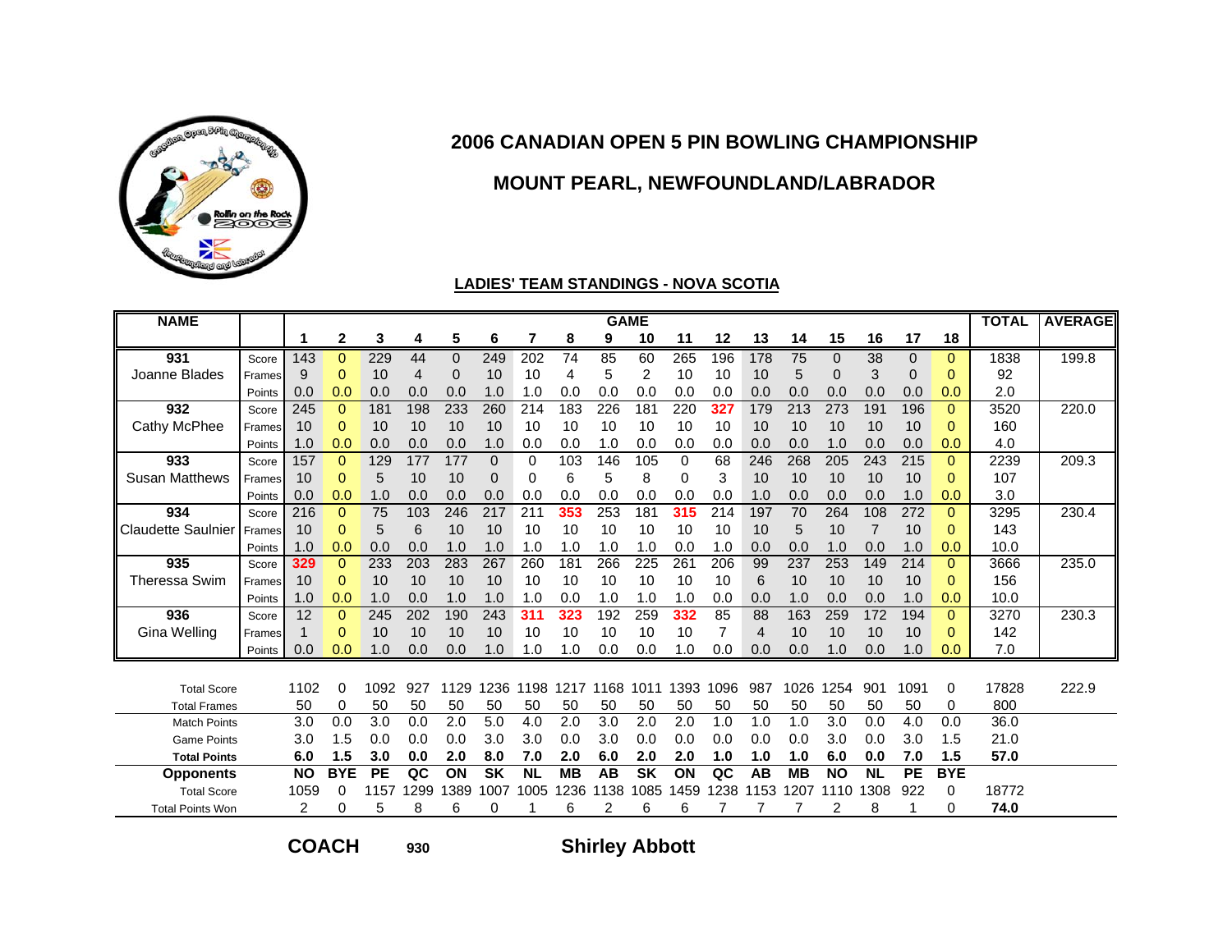

### **MOUNT PEARL, NEWFOUNDLAND/LABRADOR**

#### **LADIES' TEAM STANDINGS - NOVA SCOTIA**

| <b>NAME</b>               |        |           |              |           |      |          |              |           |           |      | <b>GAME</b> |      |      |                |           |           |           |              |              | <b>TOTAL</b> | <b>AVERAGE</b> |
|---------------------------|--------|-----------|--------------|-----------|------|----------|--------------|-----------|-----------|------|-------------|------|------|----------------|-----------|-----------|-----------|--------------|--------------|--------------|----------------|
|                           |        | 1         | $\mathbf{2}$ | 3         | 4    | 5        | 6            | 7         | 8         | 9    | 10          | 11   | 12   | 13             | 14        | 15        | 16        | 17           | 18           |              |                |
| 931                       | Score  | 143       | $\Omega$     | 229       | 44   | $\Omega$ | 249          | 202       | 74        | 85   | 60          | 265  | 196  | 178            | 75        | $\Omega$  | 38        | $\mathbf{0}$ | $\Omega$     | 1838         | 199.8          |
| Joanne Blades             | Frames | 9         | $\Omega$     | 10        | 4    | $\Omega$ | 10           | 10        | 4         | 5    | 2           | 10   | 10   | 10             | 5         | 0         | 3         | 0            | 0            | 92           |                |
|                           | Points | 0.0       | 0.0          | 0.0       | 0.0  | 0.0      | 1.0          | 1.0       | 0.0       | 0.0  | 0.0         | 0.0  | 0.0  | 0.0            | 0.0       | 0.0       | 0.0       | 0.0          | 0.0          | 2.0          |                |
| 932                       | Score  | 245       | $\mathbf{0}$ | 181       | 198  | 233      | 260          | 214       | 183       | 226  | 181         | 220  | 327  | 179            | 213       | 273       | 191       | 196          | $\mathbf{0}$ | 3520         | 220.0          |
| Cathy McPhee              | Frames | 10        | 0            | 10        | 10   | 10       | 10           | 10        | 10        | 10   | 10          | 10   | 10   | 10             | 10        | 10        | 10        | 10           | 0            | 160          |                |
|                           | Points | 1.0       | 0.0          | 0.0       | 0.0  | 0.0      | 1.0          | 0.0       | 0.0       | 1.0  | 0.0         | 0.0  | 0.0  | 0.0            | 0.0       | 1.0       | 0.0       | 0.0          | 0.0          | 4.0          |                |
| 933                       | Score  | 157       | $\Omega$     | 129       | 177  | 177      | $\mathbf{0}$ | 0         | 103       | 146  | 105         | 0    | 68   | 246            | 268       | 205       | 243       | 215          | $\Omega$     | 2239         | 209.3          |
| <b>Susan Matthews</b>     | Frames | 10        | 0            | 5         | 10   | 10       | 0            | 0         | 6         | 5    | 8           | 0    | 3    | 10             | 10        | 10        | 10        | 10           | 0            | 107          |                |
|                           | Points | 0.0       | 0.0          | 1.0       | 0.0  | 0.0      | 0.0          | 0.0       | 0.0       | 0.0  | 0.0         | 0.0  | 0.0  | 1.0            | 0.0       | 0.0       | 0.0       | 1.0          | 0.0          | 3.0          |                |
| 934                       | Score  | 216       | $\mathbf{0}$ | 75        | 103  | 246      | 217          | 211       | 353       | 253  | 181         | 315  | 214  | 197            | 70        | 264       | 108       | 272          | $\Omega$     | 3295         | 230.4          |
| <b>Claudette Saulnier</b> | Frames | 10        | 0            | 5         | 6    | 10       | 10           | 10        | 10        | 10   | 10          | 10   | 10   | 10             | 5         | 10        |           | 10           | 0            | 143          |                |
|                           | Points | 1.0       | 0.0          | 0.0       | 0.0  | 1.0      | 1.0          | 1.0       | 1.0       | 1.0  | 1.0         | 0.0  | 1.0  | 0.0            | 0.0       | 1.0       | 0.0       | 1.0          | 0.0          | 10.0         |                |
| 935                       | Score  | 329       | 0            | 233       | 203  | 283      | 267          | 260       | 181       | 266  | 225         | 261  | 206  | 99             | 237       | 253       | 149       | 214          | $\Omega$     | 3666         | 235.0          |
| Theressa Swim             | Frames | 10        | 0            | 10        | 10   | 10       | 10           | 10        | 10        | 10   | 10          | 10   | 10   | 6              | 10        | 10        | 10        | 10           | 0            | 156          |                |
|                           | Points | 1.0       | 0.0          | 1.0       | 0.0  | 1.0      | 1.0          | 1.0       | 0.0       | 1.0  | 1.0         | 1.0  | 0.0  | 0.0            | 1.0       | 0.0       | 0.0       | 1.0          | 0.0          | 10.0         |                |
| 936                       | Score  | 12        | $\Omega$     | 245       | 202  | 190      | 243          | 311       | 323       | 192  | 259         | 332  | 85   | 88             | 163       | 259       | 172       | 194          | $\Omega$     | 3270         | 230.3          |
| Gina Welling              | Frames | 1         | 0            | 10        | 10   | 10       | 10           | 10        | 10        | 10   | 10          | 10   |      | $\overline{4}$ | 10        | 10        | 10        | 10           | $\Omega$     | 142          |                |
|                           | Points | 0.0       | 0.0          | 1.0       | 0.0  | 0.0      | 1.0          | 1.0       | 1.0       | 0.0  | 0.0         | 1.0  | 0.0  | 0.0            | 0.0       | 1.0       | 0.0       | 1.0          | 0.0          | 7.0          |                |
|                           |        |           |              |           |      |          |              |           |           |      |             |      |      |                |           |           |           |              |              |              |                |
| <b>Total Score</b>        |        | 1102      | 0            | 1092      | 927  | 1129     | 1236         | 1198      | 1217      | 1168 | 1011        | 1393 | 1096 | 987            | 1026      | 1254      | 901       | 1091         | 0            | 17828        | 222.9          |
| <b>Total Frames</b>       |        | 50        | 0            | 50        | 50   | 50       | 50           | 50        | 50        | 50   | 50          | 50   | 50   | 50             | 50        | 50        | 50        | 50           | 0            | 800          |                |
| <b>Match Points</b>       |        | 3.0       | 0.0          | 3.0       | 0.0  | 2.0      | 5.0          | 4.0       | 2.0       | 3.0  | 2.0         | 2.0  | 1.0  | 1.0            | 1.0       | 3.0       | 0.0       | 4.0          | 0.0          | 36.0         |                |
| <b>Game Points</b>        |        | 3.0       | 1.5          | 0.0       | 0.0  | 0.0      | 3.0          | 3.0       | 0.0       | 3.0  | 0.0         | 0.0  | 0.0  | 0.0            | 0.0       | 3.0       | 0.0       | 3.0          | 1.5          | 21.0         |                |
| <b>Total Points</b>       |        | 6.0       | 1.5          | 3.0       | 0.0  | 2.0      | 8.0          | 7.0       | 2.0       | 6.0  | 2.0         | 2.0  | 1.0  | 1.0            | 1.0       | 6.0       | 0.0       | 7.0          | 1.5          | 57.0         |                |
| <b>Opponents</b>          |        | <b>NO</b> | <b>BYE</b>   | <b>PE</b> | QC   | ON       | <b>SK</b>    | <b>NL</b> | <b>MB</b> | AB   | <b>SK</b>   | ON   | QC   | AB             | <b>MB</b> | <b>NO</b> | <b>NL</b> | <b>PE</b>    | <b>BYE</b>   |              |                |
| <b>Total Score</b>        |        | 1059      | 0            | 1157      | 1299 | 1389     | 1007         | 1005      | 1236      | 1138 | 1085        | 1459 | 1238 | 1153           | 1207      | 1110      | 1308      | 922          | 0            | 18772        |                |
| <b>Total Points Won</b>   |        | 2         | 0            | 5         | 8    | 6        | 0            |           | 6         |      | 6           | 6    |      |                |           |           | 8         |              | 0            | 74.0         |                |

**COACH**

**930**

**Shirley Abbott**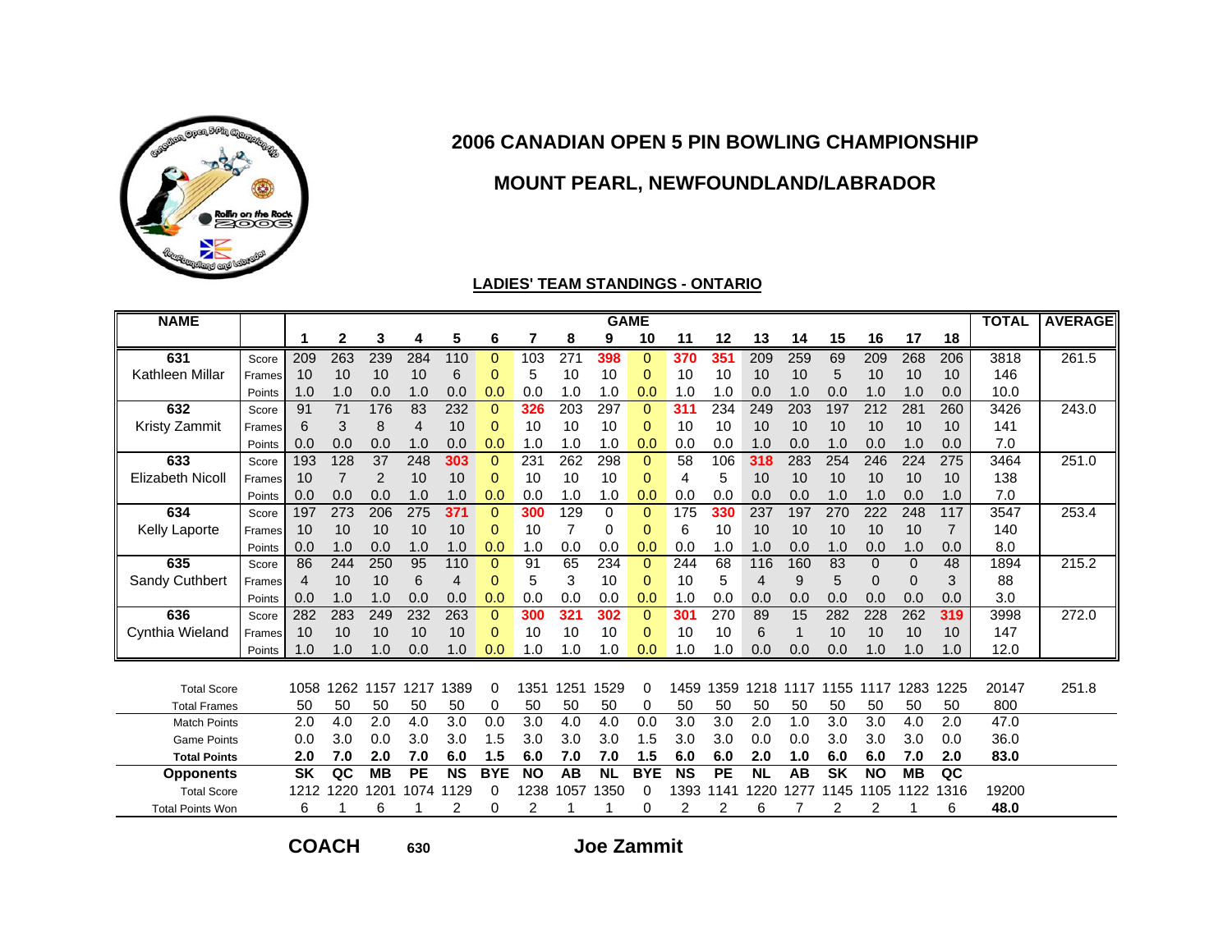

### **MOUNT PEARL, NEWFOUNDLAND/LABRADOR**

#### **LADIES' TEAM STANDINGS - ONTARIO**

| <b>NAME</b>             |        |           |              |                |           |           |              |           |                  |           | <b>GAME</b>    |           |           |           |      |           |             |             |      | <b>TOTAL</b> | <b>AVERAGE</b> |
|-------------------------|--------|-----------|--------------|----------------|-----------|-----------|--------------|-----------|------------------|-----------|----------------|-----------|-----------|-----------|------|-----------|-------------|-------------|------|--------------|----------------|
|                         |        |           | $\mathbf{2}$ | 3              | 4         | 5         | 6            | 7         | 8                | 9         | 10             | 11        | 12        | 13        | 14   | 15        | 16          | 17          | 18   |              |                |
| 631                     | Score  | 209       | 263          | 239            | 284       | 110       | $\Omega$     | 103       | $\overline{271}$ | 398       | $\Omega$       | 370       | 351       | 209       | 259  | 69        | 209         | 268         | 206  | 3818         | 261.5          |
| Kathleen Millar         | Frames | 10        | 10           | 10             | 10        | 6         | $\Omega$     | 5         | 10               | 10        | $\overline{0}$ | 10        | 10        | 10        | 10   | 5         | 10          | 10          | 10   | 146          |                |
|                         | Points | 1.0       | 1.0          | 0.0            | 1.0       | 0.0       | 0.0          | 0.0       | 1.0              | 1.0       | 0.0            | 1.0       | 1.0       | 0.0       | 1.0  | 0.0       | 1.0         | 1.0         | 0.0  | 10.0         |                |
| 632                     | Score  | 91        | 71           | 176            | 83        | 232       | $\Omega$     | 326       | 203              | 297       | $\mathbf 0$    | 311       | 234       | 249       | 203  | 197       | 212         | 281         | 260  | 3426         | 243.0          |
| <b>Kristy Zammit</b>    | Frames | 6         | 3            | 8              | 4         | 10        | $\Omega$     | 10        | 10               | 10        | $\Omega$       | 10        | 10        | 10        | 10   | 10        | 10          | 10          | 10   | 141          |                |
|                         | Points | 0.0       | 0.0          | 0.0            | 1.0       | 0.0       | 0.0          | 1.0       | 1.0              | 1.0       | 0.0            | 0.0       | 0.0       | 1.0       | 0.0  | 1.0       | 0.0         | 1.0         | 0.0  | 7.0          |                |
| 633                     | Score  | 193       | 128          | 37             | 248       | 303       | $\mathbf{0}$ | 231       | 262              | 298       | $\mathbf{0}$   | 58        | 106       | 318       | 283  | 254       | 246         | 224         | 275  | 3464         | 251.0          |
| <b>Elizabeth Nicoll</b> | Frames | 10        | 7            | $\overline{2}$ | 10        | 10        | $\Omega$     | 10        | 10               | 10        | $\Omega$       | 4         | 5         | 10        | 10   | 10        | 10          | 10          | 10   | 138          |                |
|                         | Points | 0.0       | 0.0          | 0.0            | 1.0       | 1.0       | 0.0          | 0.0       | 1.0              | 1.0       | 0.0            | 0.0       | 0.0       | 0.0       | 0.0  | 1.0       | 1.0         | 0.0         | 1.0  | 7.0          |                |
| 634                     | Score  | 197       | 273          | 206            | 275       | 371       | $\Omega$     | 300       | 129              | 0         | $\Omega$       | 175       | 330       | 237       | 197  | 270       | 222         | 248         | 117  | 3547         | 253.4          |
| Kelly Laporte           | Frames | 10        | 10           | 10             | 10        | 10        | $\Omega$     | 10        | 7                | 0         | $\Omega$       | 6         | 10        | 10        | 10   | 10        | 10          | 10          | 7    | 140          |                |
|                         | Points | 0.0       | 1.0          | 0.0            | 1.0       | 1.0       | 0.0          | 1.0       | 0.0              | 0.0       | 0.0            | 0.0       | 1.0       | 1.0       | 0.0  | 1.0       | 0.0         | 1.0         | 0.0  | 8.0          |                |
| 635                     | Score  | 86        | 244          | 250            | 95        | 110       | $\Omega$     | 91        | 65               | 234       | $\Omega$       | 244       | 68        | 116       | 160  | 83        | $\mathbf 0$ | $\Omega$    | 48   | 1894         | 215.2          |
| Sandy Cuthbert          | Frames | 4         | 10           | 10             | 6         | 4         | $\mathbf 0$  | 5         | 3                | 10        | $\Omega$       | 10        | 5         | 4         | 9    | 5         | $\mathbf 0$ | $\mathbf 0$ | 3    | 88           |                |
|                         | Points | 0.0       | 1.0          | 1.0            | 0.0       | 0.0       | 0.0          | 0.0       | 0.0              | 0.0       | 0.0            | 1.0       | 0.0       | 0.0       | 0.0  | 0.0       | 0.0         | 0.0         | 0.0  | 3.0          |                |
| 636                     | Score  | 282       | 283          | 249            | 232       | 263       | $\Omega$     | 300       | 321              | 302       | $\Omega$       | 301       | 270       | 89        | 15   | 282       | 228         | 262         | 319  | 3998         | 272.0          |
| Cynthia Wieland         | Frames | 10        | 10           | 10             | 10        | 10        | 0            | 10        | 10               | 10        | $\Omega$       | 10        | 10        | 6         |      | 10        | 10          | 10          | 10   | 147          |                |
|                         | Points | 1.0       | 1.0          | 1.0            | 0.0       | 1.0       | 0.0          | 1.0       | 1.0              | 1.0       | 0.0            | 1.0       | 1.0       | 0.0       | 0.0  | 0.0       | 1.0         | 1.0         | 1.0  | 12.0         |                |
|                         |        |           |              |                |           |           |              |           |                  |           |                |           |           |           |      |           |             |             |      |              |                |
| <b>Total Score</b>      |        | 1058      | 1262         | 1157           | 1217      | 1389      | 0            | 1351      | 1251             | 1529      | 0              | 1459      | 1359      | 1218      | 1117 | 1155      | 1117        | 1283        | 1225 | 20147        | 251.8          |
| <b>Total Frames</b>     |        | 50        | 50           | 50             | 50        | 50        | 0            | 50        | 50               | 50        | 0              | 50        | 50        | 50        | 50   | 50        | 50          | 50          | 50   | 800          |                |
| <b>Match Points</b>     |        | 2.0       | 4.0          | 2.0            | 4.0       | 3.0       | 0.0          | 3.0       | 4.0              | 4.0       | 0.0            | 3.0       | 3.0       | 2.0       | 1.0  | 3.0       | 3.0         | 4.0         | 2.0  | 47.0         |                |
| <b>Game Points</b>      |        | 0.0       | 3.0          | 0.0            | 3.0       | 3.0       | 1.5          | 3.0       | 3.0              | 3.0       | 1.5            | 3.0       | 3.0       | 0.0       | 0.0  | 3.0       | 3.0         | 3.0         | 0.0  | 36.0         |                |
| <b>Total Points</b>     |        | 2.0       | 7.0          | 2.0            | 7.0       | 6.0       | 1.5          | 6.0       | 7.0              | 7.0       | 1.5            | 6.0       | 6.0       | 2.0       | 1.0  | 6.0       | 6.0         | 7.0         | 2.0  | 83.0         |                |
| <b>Opponents</b>        |        | <b>SK</b> | QC           | <b>MB</b>      | <b>PE</b> | <b>NS</b> | <b>BYE</b>   | <b>NO</b> | AB               | <b>NL</b> | <b>BYE</b>     | <b>NS</b> | <b>PE</b> | <b>NL</b> | AB   | <b>SK</b> | <b>NO</b>   | <b>MB</b>   | QC   |              |                |
| <b>Total Score</b>      |        | 1212      | 1220         | 1201           | 1074      | 1129      | 0            | 238       | 1057             | 1350      | 0              | 1393      | 1141      | 1220      | 1277 | 1145      | 1105        | 1122        | 1316 | 19200        |                |
| <b>Total Points Won</b> |        | 6         |              | 6              |           | 2         | 0            | 2         |                  |           | 0              | 2         | 2         | 6         |      |           | 2           |             | 6    | 48.0         |                |

**COACH**

**630**

**Joe Zammit**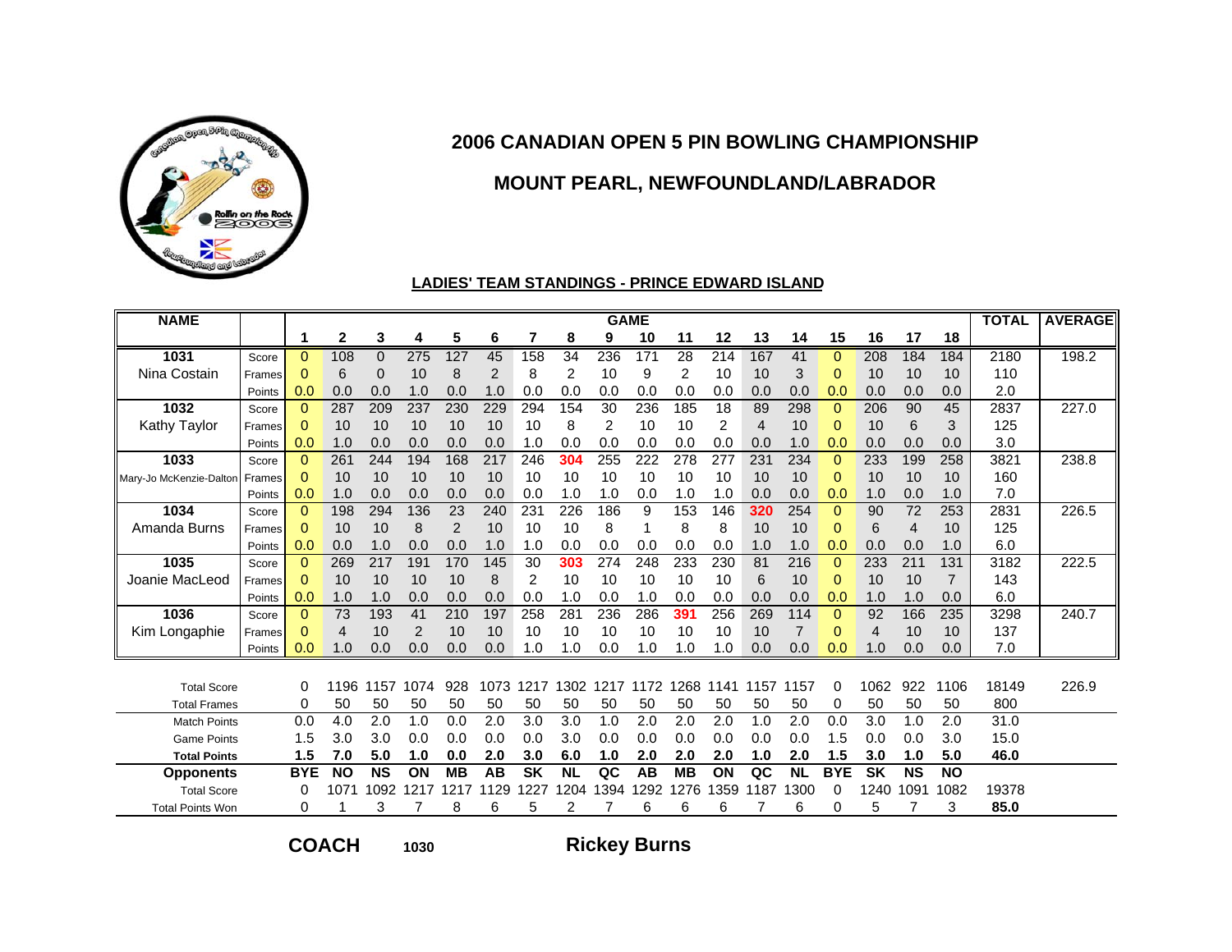

### **MOUNT PEARL, NEWFOUNDLAND/LABRADOR**

#### **LADIES' TEAM STANDINGS - PRINCE EDWARD ISLAND**

| <b>NAME</b>             |        |              |              |           |      |           |      |           |                |                | <b>GAME</b> |           |      |      |           |              |           |                |                | <b>TOTAL</b> | <b>AVERAGE</b> |
|-------------------------|--------|--------------|--------------|-----------|------|-----------|------|-----------|----------------|----------------|-------------|-----------|------|------|-----------|--------------|-----------|----------------|----------------|--------------|----------------|
|                         |        | 1            | $\mathbf{2}$ | 3         | 4    | 5         | 6    | 7         | 8              | 9              | 10          | 11        | 12   | 13   | 14        | 15           | 16        | 17             | 18             |              |                |
| 1031                    | Score  | $\mathbf{0}$ | 108          | $\Omega$  | 275  | 127       | 45   | 158       | 34             | 236            | 171         | 28        | 214  | 167  | 41        | $\Omega$     | 208       | 184            | 184            | 2180         | 198.2          |
| Nina Costain            | Frames | $\Omega$     | 6            | 0         | 10   | 8         | 2    | 8         | 2              | 10             | 9           | 2         | 10   | 10   | 3         | $\Omega$     | 10        | 10             | 10             | 110          |                |
|                         | Points | 0.0          | 0.0          | 0.0       | 1.0  | 0.0       | 1.0  | 0.0       | 0.0            | 0.0            | 0.0         | 0.0       | 0.0  | 0.0  | 0.0       | 0.0          | 0.0       | 0.0            | 0.0            | 2.0          |                |
| 1032                    | Score  | $\Omega$     | 287          | 209       | 237  | 230       | 229  | 294       | 154            | 30             | 236         | 185       | 18   | 89   | 298       | $\Omega$     | 206       | 90             | 45             | 2837         | 227.0          |
| Kathy Taylor            | Frames | $\mathbf 0$  | 10           | 10        | 10   | 10        | 10   | 10        | 8              | $\overline{2}$ | 10          | 10        | 2    | 4    | 10        | $\Omega$     | 10        | 6              | 3              | 125          |                |
|                         | Points | 0.0          | 1.0          | 0.0       | 0.0  | 0.0       | 0.0  | 1.0       | 0.0            | 0.0            | 0.0         | 0.0       | 0.0  | 0.0  | 1.0       | 0.0          | 0.0       | 0.0            | 0.0            | 3.0          |                |
| 1033                    | Score  | $\Omega$     | 261          | 244       | 194  | 168       | 217  | 246       | 304            | 255            | 222         | 278       | 277  | 231  | 234       | $\Omega$     | 233       | 199            | 258            | 3821         | 238.8          |
| Mary-Jo McKenzie-Daltor | Frames | $\Omega$     | 10           | 10        | 10   | 10        | 10   | 10        | 10             | 10             | 10          | 10        | 10   | 10   | 10        | $\Omega$     | 10        | 10             | 10             | 160          |                |
|                         | Points | 0.0          | 1.0          | 0.0       | 0.0  | 0.0       | 0.0  | 0.0       | 1.0            | 1.0            | 0.0         | 1.0       | 1.0  | 0.0  | 0.0       | 0.0          | 1.0       | 0.0            | 1.0            | 7.0          |                |
| 1034                    | Score  | $\Omega$     | 198          | 294       | 136  | 23        | 240  | 231       | 226            | 186            | 9           | 153       | 146  | 320  | 254       | $\Omega$     | 90        | 72             | 253            | 2831         | 226.5          |
| Amanda Burns            | Frames | $\Omega$     | 10           | 10        | 8    | 2         | 10   | 10        | 10             | 8              |             | 8         | 8    | 10   | 10        | $\Omega$     | 6         | $\overline{4}$ | 10             | 125          |                |
|                         | Points | 0.0          | 0.0          | 1.0       | 0.0  | 0.0       | 1.0  | 1.0       | 0.0            | 0.0            | 0.0         | 0.0       | 0.0  | 1.0  | 1.0       | 0.0          | 0.0       | 0.0            | 1.0            | 6.0          |                |
| 1035                    | Score  | $\Omega$     | 269          | 217       | 191  | 170       | 145  | 30        | 303            | 274            | 248         | 233       | 230  | 81   | 216       | 0            | 233       | 211            | 131            | 3182         | 222.5          |
| Joanie MacLeod          | Frames | $\Omega$     | 10           | 10        | 10   | 10        | 8    | 2         | 10             | 10             | 10          | 10        | 10   | 6    | 10        | $\Omega$     | 10        | 10             | $\overline{7}$ | 143          |                |
|                         | Points | 0.0          | 1.0          | 1.0       | 0.0  | 0.0       | 0.0  | 0.0       | 1.0            | 0.0            | 1.0         | 0.0       | 0.0  | 0.0  | 0.0       | 0.0          | 1.0       | 1.0            | 0.0            | 6.0          |                |
| 1036                    | Score  | $\mathbf{0}$ | 73           | 193       | 41   | 210       | 197  | 258       | 281            | 236            | 286         | 391       | 256  | 269  | 114       | $\mathbf{0}$ | 92        | 166            | 235            | 3298         | 240.7          |
| Kim Longaphie           | Frames | 0            | 4            | 10        | 2    | 10        | 10   | 10        | 10             | 10             | 10          | 10        | 10   | 10   |           | $\Omega$     | 4         | 10             | 10             | 137          |                |
|                         | Points | 0.0          | 1.0          | 0.0       | 0.0  | 0.0       | 0.0  | 1.0       | 1.0            | 0.0            | 1.0         | 1.0       | 1.0  | 0.0  | 0.0       | 0.0          | 1.0       | 0.0            | 0.0            | 7.0          |                |
|                         |        |              |              |           |      |           |      |           |                |                |             |           |      |      |           |              |           |                |                |              |                |
| <b>Total Score</b>      |        | 0            | 1196         | 1157      | 1074 | 928       | 1073 | 1217      | 1302           | 1217           | 1172        | 1268      | 1141 | 1157 | 1157      | 0            | 1062      | 922            | 1106           | 18149        | 226.9          |
| <b>Total Frames</b>     |        | 0            | 50           | 50        | 50   | 50        | 50   | 50        | 50             | 50             | 50          | 50        | 50   | 50   | 50        | 0            | 50        | 50             | 50             | 800          |                |
| <b>Match Points</b>     |        | 0.0          | 4.0          | 2.0       | 1.0  | 0.0       | 2.0  | 3.0       | 3.0            | 1.0            | 2.0         | 2.0       | 2.0  | 1.0  | 2.0       | 0.0          | 3.0       | 1.0            | 2.0            | 31.0         |                |
| <b>Game Points</b>      |        | 1.5          | 3.0          | 3.0       | 0.0  | 0.0       | 0.0  | 0.0       | 3.0            | 0.0            | 0.0         | 0.0       | 0.0  | 0.0  | 0.0       | 1.5          | 0.0       | 0.0            | 3.0            | 15.0         |                |
| <b>Total Points</b>     |        | 1.5          | 7.0          | 5.0       | 1.0  | 0.0       | 2.0  | 3.0       | 6.0            | 1.0            | 2.0         | 2.0       | 2.0  | 1.0  | 2.0       | 1.5          | 3.0       | 1.0            | 5.0            | 46.0         |                |
| <b>Opponents</b>        |        | <b>BYE</b>   | <b>NO</b>    | <b>NS</b> | ON   | <b>MB</b> | AB   | <b>SK</b> | <b>NL</b>      | QC             | AB          | <b>MB</b> | ON   | QC   | <b>NL</b> | <b>BYE</b>   | <b>SK</b> | <b>NS</b>      | <b>NO</b>      |              |                |
| <b>Total Score</b>      |        | 0            | 107          | 1092      | 1217 | 1217      | 1129 | 1227      | 204            | 1394           | 1292        | 276       | 1359 | 1187 | 300       | 0            | 1240      | 1091           | 1082           | 19378        |                |
| <b>Total Points Won</b> |        | 0            |              | 3         |      | 8         | 6    | 5         | $\overline{2}$ |                | 6           | 6         | 6    |      | 6         | 0            | 5         |                | 3              | 85.0         |                |

**COACH**

**<sup>1030</sup> Rickey Burns**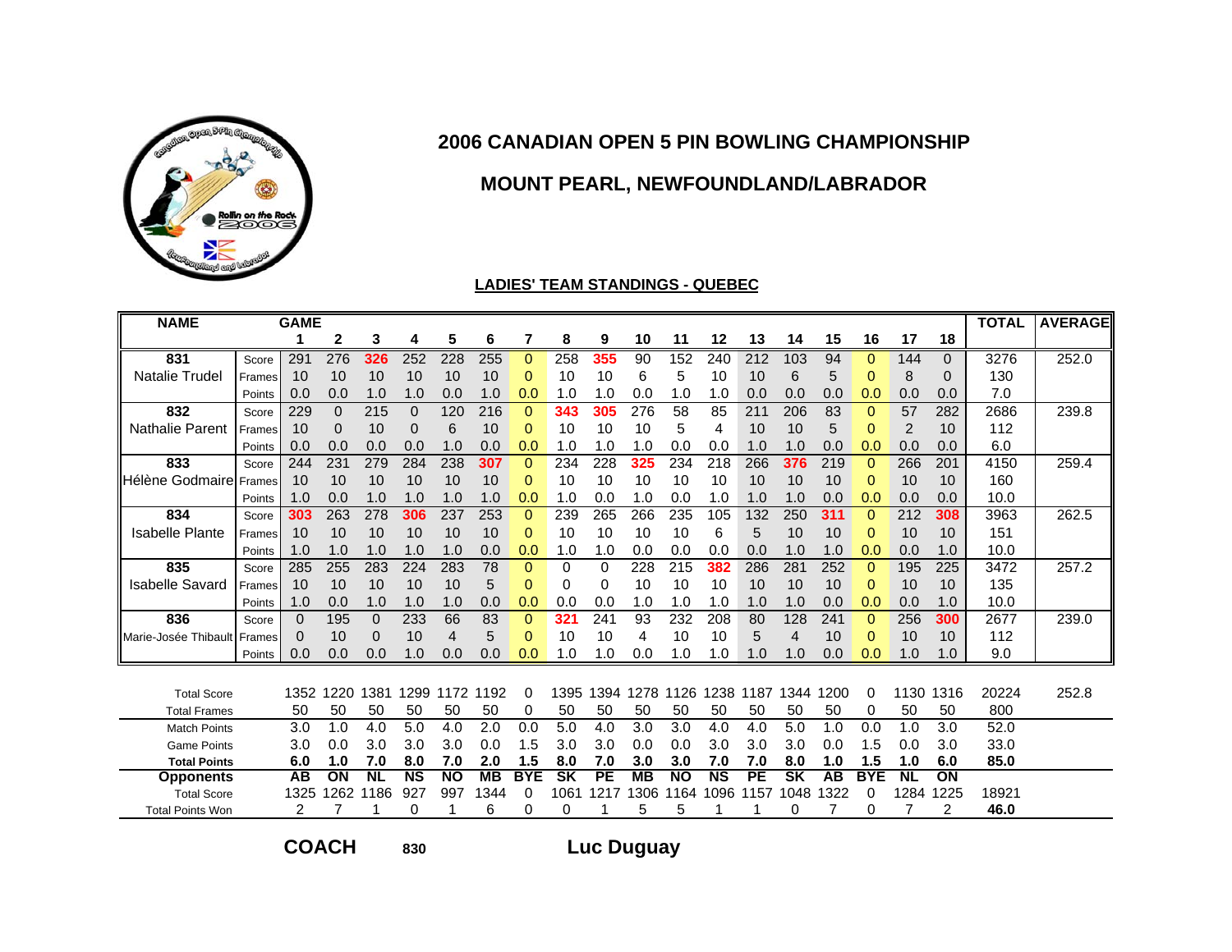

# **MOUNT PEARL, NEWFOUNDLAND/LABRADOR**

#### **LADIES' TEAM STANDINGS - QUEBEC**

| <b>NAME</b>                      |        | <b>GAME</b> |                 |           |              |           |           |            |           |                 |           |           |           |                 |                          |      |             |           |                | <b>TOTAL</b> | <b>AVERAGE</b> |
|----------------------------------|--------|-------------|-----------------|-----------|--------------|-----------|-----------|------------|-----------|-----------------|-----------|-----------|-----------|-----------------|--------------------------|------|-------------|-----------|----------------|--------------|----------------|
|                                  |        |             | $\mathbf{2}$    | 3         | 4            | 5         | 6         | 7          | 8         | 9               | 10        | 11        | 12        | 13              | 14                       | 15   | 16          | 17        | 18             |              |                |
| 831                              | Score  | 291         | 276             | 326       | 252          | 228       | 255       | 0          | 258       | 355             | 90        | 152       | 240       | 212             | 103                      | 94   | 0           | 144       | 0              | 3276         | 252.0          |
| <b>Natalie Trudel</b>            | Frames | 10          | 10              | 10        | 10           | 10        | 10        | 0          | 10        | 10              | 6         | 5         | 10        | 10              | 6                        | 5    | $\mathbf 0$ | 8         | 0              | 130          |                |
|                                  | Points | 0.0         | 0.0             | 1.0       | 1.0          | 0.0       | 1.0       | 0.0        | 1.0       | 1.0             | 0.0       | 1.0       | 1.0       | 0.0             | 0.0                      | 0.0  | 0.0         | 0.0       | 0.0            | 7.0          |                |
| 832                              | Score  | 229         | $\mathbf 0$     | 215       | $\mathbf{0}$ | 120       | 216       | $\Omega$   | 343       | 305             | 276       | 58        | 85        | 211             | 206                      | 83   | $\mathbf 0$ | 57        | 282            | 2686         | 239.8          |
| <b>Nathalie Parent</b>           | Frames | 10          | 0               | 10        | $\mathbf 0$  | 6         | 10        | 0          | 10        | 10              | 10        | 5         | 4         | 10              | 10                       | 5    | 0           | 2         | 10             | 112          |                |
|                                  | Points | 0.0         | 0.0             | 0.0       | 0.0          | 1.0       | 0.0       | 0.0        | 1.0       | 1.0             | 1.0       | 0.0       | 0.0       | 1.0             | 1.0                      | 0.0  | 0.0         | 0.0       | 0.0            | 6.0          |                |
| 833                              | Score  | 244         | 231             | 279       | 284          | 238       | 307       | 0          | 234       | 228             | 325       | 234       | 218       | 266             | 376                      | 219  | $\mathbf 0$ | 266       | 201            | 4150         | 259.4          |
| <b>I</b> Hélène Godmairel Frames |        | 10          | 10              | 10        | 10           | 10        | 10        | $\Omega$   | 10        | 10              | 10        | 10        | 10        | 10              | 10                       | 10   | 0           | 10        | 10             | 160          |                |
|                                  | Points | 1.0         | 0.0             | 1.0       | 1.0          | 1.0       | 1.0       | 0.0        | 1.0       | 0.0             | 1.0       | 0.0       | 1.0       | 1.0             | 1.0                      | 0.0  | 0.0         | 0.0       | 0.0            | 10.0         |                |
| 834                              | Score  | 303         | 263             | 278       | 306          | 237       | 253       | $\Omega$   | 239       | 265             | 266       | 235       | 105       | 132             | 250                      | 311  | $\Omega$    | 212       | 308            | 3963         | 262.5          |
| <b>Isabelle Plante</b>           | Frames | 10          | 10              | 10        | 10           | 10        | 10        | 0          | 10        | 10              | 10        | 10        | 6         | 5               | 10                       | 10   | 0           | 10        | 10             | 151          |                |
|                                  | Points | 1.0         | 1.0             | 1.0       | 1.0          | 1.0       | 0.0       | 0.0        | 1.0       | 1.0             | 0.0       | 0.0       | 0.0       | 0.0             | 1.0                      | 1.0  | 0.0         | 0.0       | 1.0            | 10.0         |                |
| 835                              | Score  | 285         | 255             | 283       | 224          | 283       | 78        | 0          | 0         | $\Omega$        | 228       | 215       | 382       | 286             | 281                      | 252  | $\mathbf 0$ | 195       | 225            | 3472         | 257.2          |
| <b>Isabelle Savard</b>           | Frames | 10          | 10              | 10        | 10           | 10        | 5         | 0          | 0         | 0               | 10        | 10        | 10        | 10              | 10                       | 10   | 0           | 10        | 10             | 135          |                |
|                                  | Points | 1.0         | 0.0             | 1.0       | 1.0          | 1.0       | 0.0       | 0.0        | 0.0       | 0.0             | 1.0       | 1.0       | 1.0       | 1.0             | 1.0                      | 0.0  | 0.0         | 0.0       | 1.0            | 10.0         |                |
| 836                              | Score  | $\Omega$    | 195             | $\Omega$  | 233          | 66        | 83        | 0          | 321       | 241             | 93        | 232       | 208       | 80              | 128                      | 241  | $\Omega$    | 256       | 300            | 2677         | 239.0          |
| Marie-Josée Thibault             | Frames | 0           | 10              | 0         | 10           | 4         | 5         | 0          | 10        | 10              | 4         | 10        | 10        | 5               | 4                        | 10   | 0           | 10        | 10             | 112          |                |
|                                  | Points | 0.0         | 0.0             | 0.0       | 1.0          | 0.0       | 0.0       | 0.0        | 1.0       | 1.0             | 0.0       | 1.0       | 1.0       | 1.0             | 1.0                      | 0.0  | 0.0         | 1.0       | 1.0            | 9.0          |                |
|                                  |        |             |                 |           |              |           |           |            |           |                 |           |           |           |                 |                          |      |             |           |                |              |                |
| <b>Total Score</b>               |        | 1352        | 1220            | 1381      | 1299         | 1172      | 1192      |            | 1395      | 1394            | 1278      | 1126      | 1238      | 1187            | 1344                     | 1200 | 0           | 1130      | 1316           | 20224        | 252.8          |
| <b>Total Frames</b>              |        | 50          | 50              | 50        | 50           | 50        | 50        | 0          | 50        | 50              | 50        | 50        | 50        | 50              | 50                       | 50   | 0           | 50        | 50             | 800          |                |
| <b>Match Points</b>              |        | 3.0         | 1.0             | 4.0       | 5.0          | 4.0       | 2.0       | 0.0        | 5.0       | 4.0             | 3.0       | 3.0       | 4.0       | 4.0             | 5.0                      | 1.0  | 0.0         | 1.0       | 3.0            | 52.0         |                |
| <b>Game Points</b>               |        | 3.0         | 0.0             | 3.0       | 3.0          | 3.0       | 0.0       | 1.5        | 3.0       | 3.0             | 0.0       | 0.0       | 3.0       | 3.0             | 3.0                      | 0.0  | 1.5         | 0.0       | 3.0            | 33.0         |                |
| <b>Total Points</b>              |        | 6.0         | 1.0             | 7.0       | 8.0          | 7.0       | 2.0       | 1.5        | 8.0       | 7.0             | 3.0       | 3.0       | 7.0       | 7.0             | 8.0                      | 1.0  | 1.5         | 1.0       | 6.0            | 85.0         |                |
| <b>Opponents</b>                 |        | AB          | $\overline{ON}$ | <b>NL</b> | <b>NS</b>    | <b>NO</b> | <b>MB</b> | <b>BYE</b> | <b>SK</b> | $\overline{PE}$ | <b>MB</b> | <b>NO</b> | <b>NS</b> | $\overline{PE}$ | $\overline{\mathsf{SK}}$ | AB   | <b>BYE</b>  | <b>NL</b> | ON             |              |                |
| <b>Total Score</b>               |        | 1325        | 1262            | 1186      | 927          | 997       | 1344      | 0          | 1061      | 1217            | 1306      | 164       | 1096      | 1157            | 1048                     | 322  | 0           | 1284      | 225            | 18921        |                |
| <b>Total Points Won</b>          |        | 2           |                 |           | 0            |           | 6         | 0          | 0         |                 | 5         | 5         |           |                 | O                        |      | 0           |           | $\overline{2}$ | 46.0         |                |

**COACH**

**<sup>830</sup> Luc Duguay**